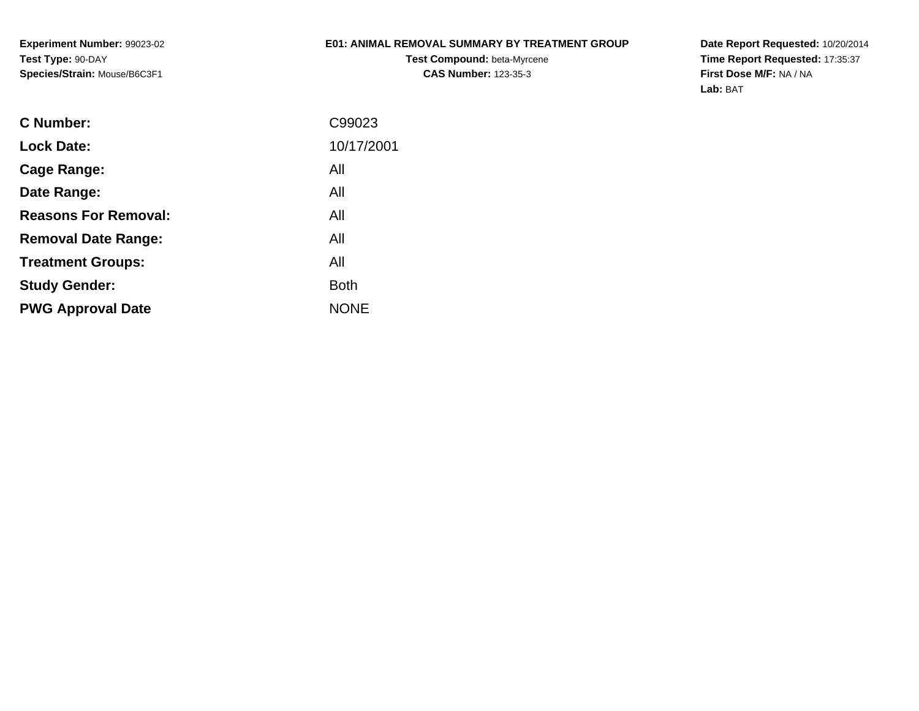**Experiment Number:** 99023-02**Test Type:** 90-DAY**Species/Strain:** Mouse/B6C3F1

### **E01: ANIMAL REMOVAL SUMMARY BY TREATMENT GROUP**

**Test Compound:** beta-Myrcene**CAS Number:** 123-35-3

| C99023      |
|-------------|
| 10/17/2001  |
| All         |
| All         |
| All         |
| All         |
| All         |
| <b>Both</b> |
| <b>NONE</b> |
|             |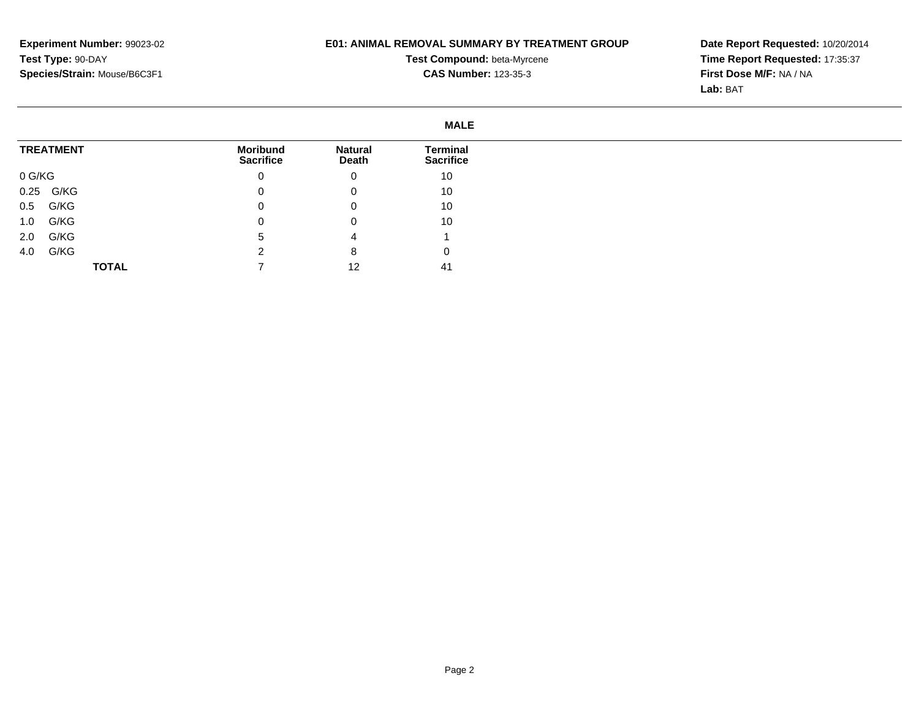# **E01: ANIMAL REMOVAL SUMMARY BY TREATMENT GROUP**

**Test Compound:** beta-Myrcene**CAS Number:** 123-35-3

**Date Report Requested:** 10/20/2014 **Time Report Requested:** 17:35:37**First Dose M/F:** NA / NA**Lab:** BAT

|                  |              |                              |                         | <b>MALE</b>                  |
|------------------|--------------|------------------------------|-------------------------|------------------------------|
| <b>TREATMENT</b> |              | Moribund<br><b>Sacrifice</b> | <b>Natural</b><br>Death | Terminal<br><b>Sacrifice</b> |
| 0 G/KG           |              | U                            | 0                       | 10                           |
| 0.25 G/KG        |              |                              | 0                       | 10                           |
| G/KG<br>0.5      |              |                              | 0                       | 10                           |
| G/KG<br>1.0      |              |                              | 0                       | 10                           |
| G/KG<br>2.0      |              | b                            | 4                       |                              |
| G/KG<br>4.0      |              |                              | 8                       | υ                            |
|                  | <b>TOTAL</b> |                              | 12                      | 41                           |

Page 2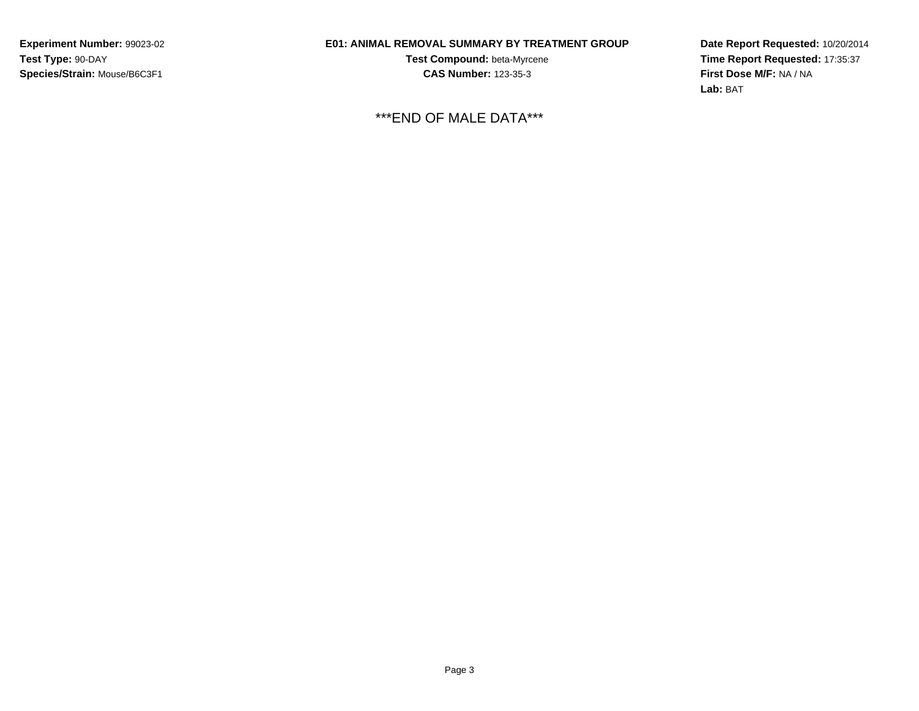**Experiment Number:** 99023-02**Test Type:** 90-DAY**Species/Strain:** Mouse/B6C3F1

# **E01: ANIMAL REMOVAL SUMMARY BY TREATMENT GROUP**

**Test Compound:** beta-Myrcene**CAS Number:** 123-35-3

\*\*\*END OF MALE DATA\*\*\*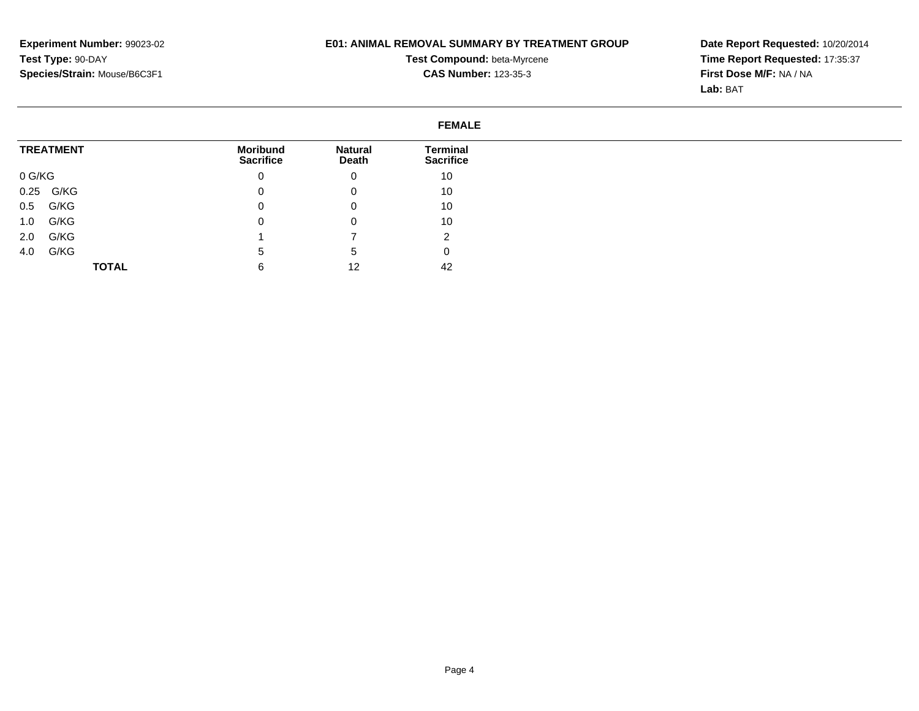# **E01: ANIMAL REMOVAL SUMMARY BY TREATMENT GROUP**

**Test Compound:** beta-Myrcene**CAS Number:** 123-35-3

|                  |                                     |                         | <b>FEMALE</b>                |
|------------------|-------------------------------------|-------------------------|------------------------------|
| <b>TREATMENT</b> | <b>Moribund</b><br><b>Sacrifice</b> | <b>Natural</b><br>Death | Terminal<br><b>Sacrifice</b> |
| 0 G/KG           | 0                                   | 0                       | 10                           |
| G/KG<br>0.25     | 0                                   | 0                       | 10                           |
| G/KG<br>0.5      | 0                                   | 0                       | 10                           |
| G/KG<br>1.0      | $\mathbf 0$                         | 0                       | 10                           |
| G/KG<br>2.0      |                                     |                         | റ<br>∼                       |
| G/KG<br>4.0      | 5                                   | 5                       | 0                            |
| <b>TOTAL</b>     | 6                                   | 12                      | 42                           |